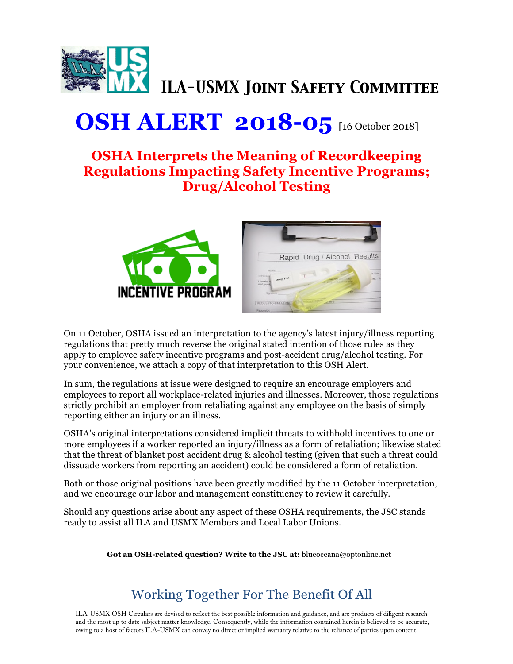

## **OSH ALERT 2018-05** [16 October 2018]

## **OSHA Interprets the Meaning of Recordkeeping Regulations Impacting Safety Incentive Programs; Drug/Alcohol Testing**





On 11 October, OSHA issued an interpretation to the agency's latest injury/illness reporting regulations that pretty much reverse the original stated intention of those rules as they apply to employee safety incentive programs and post-accident drug/alcohol testing. For your convenience, we attach a copy of that interpretation to this OSH Alert.

In sum, the regulations at issue were designed to require an encourage employers and employees to report all workplace-related injuries and illnesses. Moreover, those regulations strictly prohibit an employer from retaliating against any employee on the basis of simply reporting either an injury or an illness.

OSHA's original interpretations considered implicit threats to withhold incentives to one or more employees if a worker reported an injury/illness as a form of retaliation; likewise stated that the threat of blanket post accident drug & alcohol testing (given that such a threat could dissuade workers from reporting an accident) could be considered a form of retaliation.

Both or those original positions have been greatly modified by the 11 October interpretation, and we encourage our labor and management constituency to review it carefully.

Should any questions arise about any aspect of these OSHA requirements, the JSC stands ready to assist all ILA and USMX Members and Local Labor Unions.

**Got an OSH-related question? Write to the JSC at:** blueoceana@optonline.net

## Working Together For The Benefit Of All

ILA-USMX OSH Circulars are devised to reflect the best possible information and guidance, and are products of diligent research and the most up to date subject matter knowledge. Consequently, while the information contained herein is believed to be accurate, owing to a host of factors ILA-USMX can convey no direct or implied warranty relative to the reliance of parties upon content.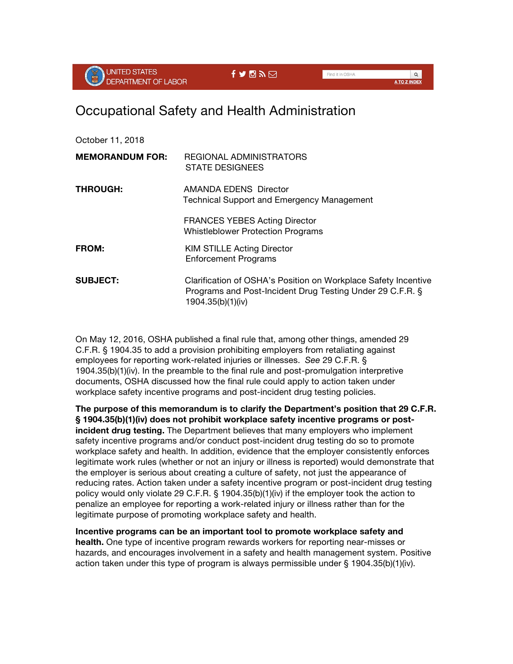

## Occupational Safety and Health Administration

| October 11, 2018       |                                                                                                                                                  |
|------------------------|--------------------------------------------------------------------------------------------------------------------------------------------------|
| <b>MEMORANDUM FOR:</b> | REGIONAL ADMINISTRATORS<br><b>STATE DESIGNEES</b>                                                                                                |
| <b>THROUGH:</b>        | AMANDA EDENS Director<br><b>Technical Support and Emergency Management</b>                                                                       |
|                        | <b>FRANCES YEBES Acting Director</b><br><b>Whistleblower Protection Programs</b>                                                                 |
| <b>FROM:</b>           | <b>KIM STILLE Acting Director</b><br><b>Enforcement Programs</b>                                                                                 |
| <b>SUBJECT:</b>        | Clarification of OSHA's Position on Workplace Safety Incentive<br>Programs and Post-Incident Drug Testing Under 29 C.F.R. §<br>1904.35(b)(1)(iv) |

On May 12, 2016, OSHA published a final rule that, among other things, amended 29 C.F.R. § 1904.35 to add a provision prohibiting employers from retaliating against employees for reporting work-related injuries or illnesses. *See* 29 C.F.R. § 1904.35(b)(1)(iv). In the preamble to the final rule and post-promulgation interpretive documents, OSHA discussed how the final rule could apply to action taken under workplace safety incentive programs and post-incident drug testing policies.

**The purpose of this memorandum is to clarify the Department's position that 29 C.F.R. § 1904.35(b)(1)(iv) does not prohibit workplace safety incentive programs or postincident drug testing.** The Department believes that many employers who implement safety incentive programs and/or conduct post-incident drug testing do so to promote workplace safety and health. In addition, evidence that the employer consistently enforces legitimate work rules (whether or not an injury or illness is reported) would demonstrate that the employer is serious about creating a culture of safety, not just the appearance of reducing rates. Action taken under a safety incentive program or post-incident drug testing policy would only violate 29 C.F.R. § 1904.35(b)(1)(iv) if the employer took the action to penalize an employee for reporting a work-related injury or illness rather than for the legitimate purpose of promoting workplace safety and health.

**Incentive programs can be an important tool to promote workplace safety and health.** One type of incentive program rewards workers for reporting near-misses or hazards, and encourages involvement in a safety and health management system. Positive action taken under this type of program is always permissible under § 1904.35(b)(1)(iv).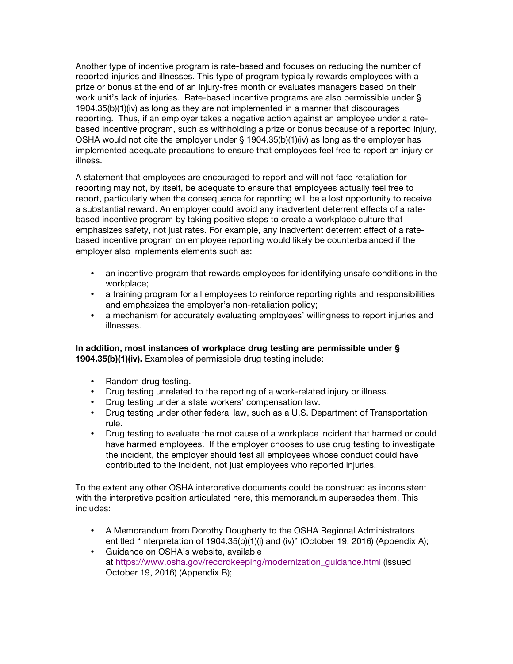Another type of incentive program is rate-based and focuses on reducing the number of reported injuries and illnesses. This type of program typically rewards employees with a prize or bonus at the end of an injury-free month or evaluates managers based on their work unit's lack of injuries. Rate-based incentive programs are also permissible under § 1904.35(b)(1)(iv) as long as they are not implemented in a manner that discourages reporting. Thus, if an employer takes a negative action against an employee under a ratebased incentive program, such as withholding a prize or bonus because of a reported injury, OSHA would not cite the employer under § 1904.35(b)(1)(iv) as long as the employer has implemented adequate precautions to ensure that employees feel free to report an injury or illness.

A statement that employees are encouraged to report and will not face retaliation for reporting may not, by itself, be adequate to ensure that employees actually feel free to report, particularly when the consequence for reporting will be a lost opportunity to receive a substantial reward. An employer could avoid any inadvertent deterrent effects of a ratebased incentive program by taking positive steps to create a workplace culture that emphasizes safety, not just rates. For example, any inadvertent deterrent effect of a ratebased incentive program on employee reporting would likely be counterbalanced if the employer also implements elements such as:

- an incentive program that rewards employees for identifying unsafe conditions in the workplace;
- a training program for all employees to reinforce reporting rights and responsibilities and emphasizes the employer's non-retaliation policy;
- a mechanism for accurately evaluating employees' willingness to report injuries and illnesses.

**In addition, most instances of workplace drug testing are permissible under § 1904.35(b)(1)(iv).** Examples of permissible drug testing include:

- Random drug testing.
- Drug testing unrelated to the reporting of a work-related injury or illness.
- Drug testing under a state workers' compensation law.
- Drug testing under other federal law, such as a U.S. Department of Transportation rule.
- Drug testing to evaluate the root cause of a workplace incident that harmed or could have harmed employees. If the employer chooses to use drug testing to investigate the incident, the employer should test all employees whose conduct could have contributed to the incident, not just employees who reported injuries.

To the extent any other OSHA interpretive documents could be construed as inconsistent with the interpretive position articulated here, this memorandum supersedes them. This includes:

- A Memorandum from Dorothy Dougherty to the OSHA Regional Administrators entitled "Interpretation of 1904.35(b)(1)(i) and (iv)" (October 19, 2016) (Appendix A);
- Guidance on OSHA's website, available at [https://www.osha.gov/recordkeeping/modernization\\_guidance.html](https://www.osha.gov/recordkeeping/modernization_guidance.html) (issued October 19, 2016) (Appendix B);